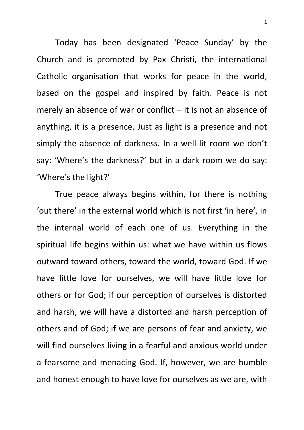Today has been designated 'Peace Sunday' by the Church and is promoted by Pax Christi, the international Catholic organisation that works for peace in the world, based on the gospel and inspired by faith. Peace is not merely an absence of war or conflict  $-$  it is not an absence of anything, it is a presence. Just as light is a presence and not simply the absence of darkness. In a well-lit room we don't say: 'Where's the darkness?' but in a dark room we do say: 'Where's the light?'

True peace always begins within, for there is nothing 'out there' in the external world which is not first 'in here', in the internal world of each one of us. Everything in the spiritual life begins within us: what we have within us flows outward toward others, toward the world, toward God. If we have little love for ourselves, we will have little love for others or for God; if our perception of ourselves is distorted and harsh, we will have a distorted and harsh perception of others and of God; if we are persons of fear and anxiety, we will find ourselves living in a fearful and anxious world under a fearsome and menacing God. If, however, we are humble and honest enough to have love for ourselves as we are, with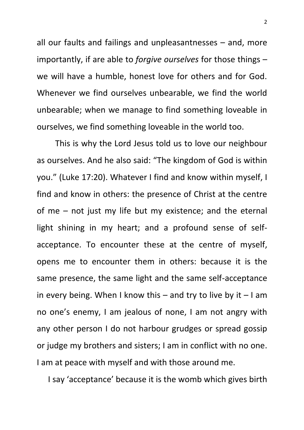all our faults and failings and unpleasantnesses – and, more importantly, if are able to *forgive ourselves* for those things – we will have a humble, honest love for others and for God. Whenever we find ourselves unbearable, we find the world unbearable; when we manage to find something loveable in ourselves, we find something loveable in the world too.

This is why the Lord Jesus told us to love our neighbour as ourselves. And he also said: "The kingdom of God is within you." (Luke 17:20). Whatever I find and know within myself, I find and know in others: the presence of Christ at the centre of me – not just my life but my existence; and the eternal light shining in my heart; and a profound sense of selfacceptance. To encounter these at the centre of myself, opens me to encounter them in others: because it is the same presence, the same light and the same self-acceptance in every being. When I know this  $-$  and try to live by it  $-1$  am no one's enemy, I am jealous of none, I am not angry with any other person I do not harbour grudges or spread gossip or judge my brothers and sisters; I am in conflict with no one. I am at peace with myself and with those around me.

I say 'acceptance' because it is the womb which gives birth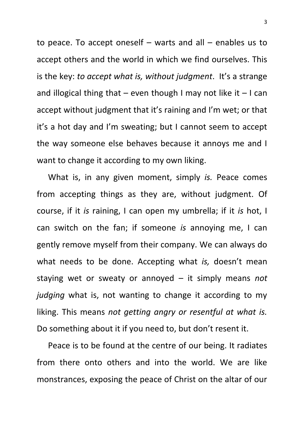to peace. To accept oneself – warts and all – enables us to accept others and the world in which we find ourselves. This is the key: *to accept what is, without judgment*. It's a strange and illogical thing that  $-$  even though I may not like it  $-1$  can accept without judgment that it's raining and I'm wet; or that it's a hot day and I'm sweating; but I cannot seem to accept the way someone else behaves because it annoys me and I want to change it according to my own liking.

What is, in any given moment, simply *is.* Peace comes from accepting things as they are, without judgment. Of course, if it *is* raining, I can open my umbrella; if it *is* hot, I can switch on the fan; if someone *is* annoying me, I can gently remove myself from their company. We can always do what needs to be done. Accepting what *is,* doesn't mean staying wet or sweaty or annoyed – it simply means *not judging* what is, not wanting to change it according to my liking. This means *not getting angry or resentful at what is.* Do something about it if you need to, but don't resent it.

Peace is to be found at the centre of our being. It radiates from there onto others and into the world. We are like monstrances, exposing the peace of Christ on the altar of our